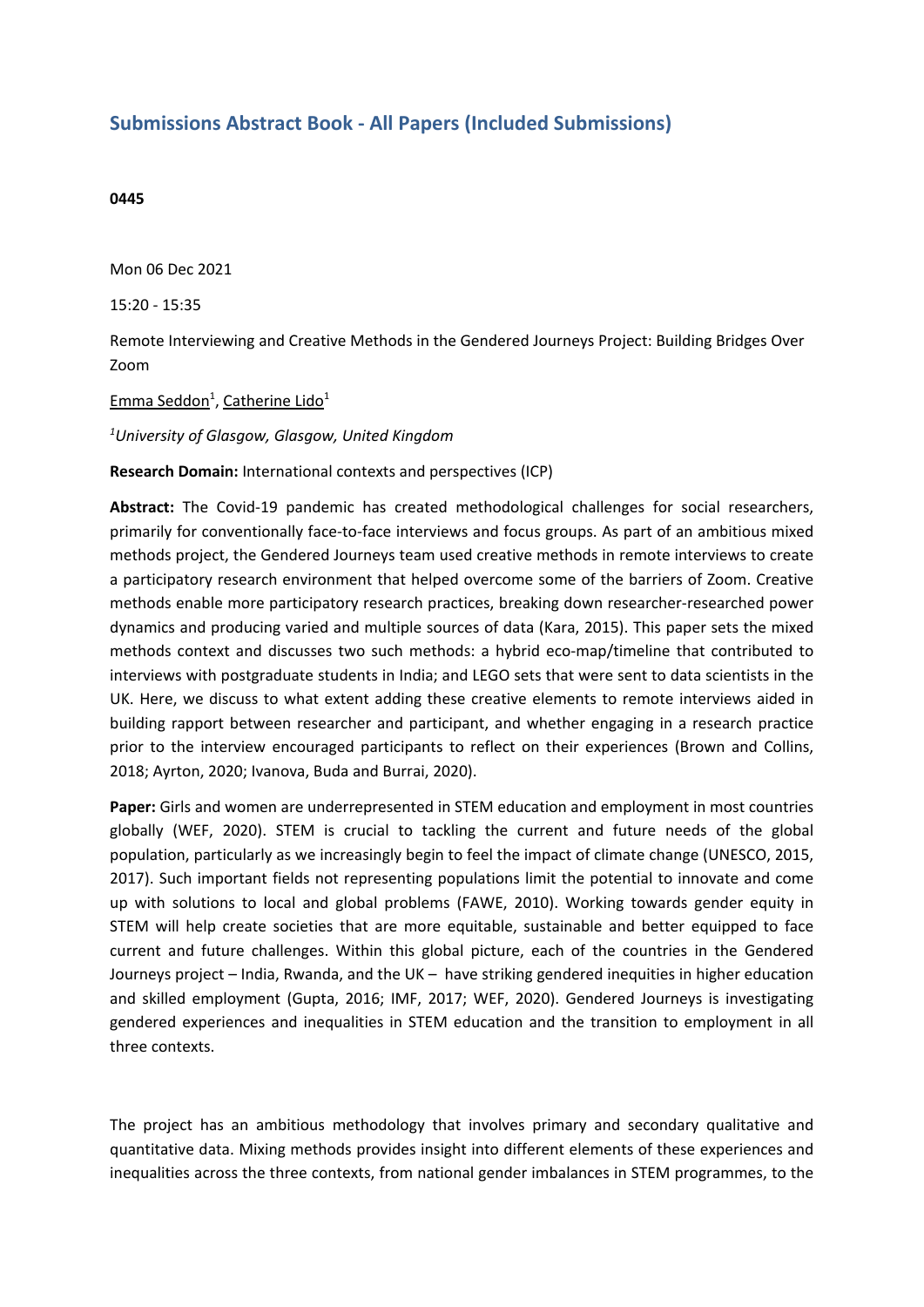## **Submissions Abstract Book - All Papers (Included Submissions)**

## **0445**

Mon 06 Dec 2021

15:20 - 15:35

Remote Interviewing and Creative Methods in the Gendered Journeys Project: Building Bridges Over Zoom

Emma Seddon<sup>1</sup>, Catherine Lido<sup>1</sup>

*1 University of Glasgow, Glasgow, United Kingdom*

**Research Domain:** International contexts and perspectives (ICP)

**Abstract:** The Covid-19 pandemic has created methodological challenges for social researchers, primarily for conventionally face-to-face interviews and focus groups. As part of an ambitious mixed methods project, the Gendered Journeys team used creative methods in remote interviews to create <sup>a</sup> participatory research environment that helped overcome some of the barriers of Zoom. Creative methods enable more participatory research practices, breaking down researcher-researched power dynamics and producing varied and multiple sources of data (Kara, 2015). This paper sets the mixed methods context and discusses two such methods: <sup>a</sup> hybrid eco-map/timeline that contributed to interviews with postgraduate students in India; and LEGO sets that were sent to data scientists in the UK. Here, we discuss to what extent adding these creative elements to remote interviews aided in building rapport between researcher and participant, and whether engaging in <sup>a</sup> research practice prior to the interview encouraged participants to reflect on their experiences (Brown and Collins, 2018; Ayrton, 2020; Ivanova, Buda and Burrai, 2020).

**Paper:** Girls and women are underrepresented in STEM education and employment in most countries globally (WEF, 2020). STEM is crucial to tackling the current and future needs of the global population, particularly as we increasingly begin to feel the impact of climate change (UNESCO, 2015, 2017). Such important fields not representing populations limit the potential to innovate and come up with solutions to local and global problems (FAWE, 2010). Working towards gender equity in STEM will help create societies that are more equitable, sustainable and better equipped to face current and future challenges. Within this global picture, each of the countries in the Gendered Journeys project – India, Rwanda, and the UK – have striking gendered inequities in higher education and skilled employment (Gupta, 2016; IMF, 2017; WEF, 2020). Gendered Journeys is investigating gendered experiences and inequalities in STEM education and the transition to employment in all three contexts.

The project has an ambitious methodology that involves primary and secondary qualitative and quantitative data. Mixing methods provides insight into different elements of these experiences and inequalities across the three contexts, from national gender imbalances in STEM programmes, to the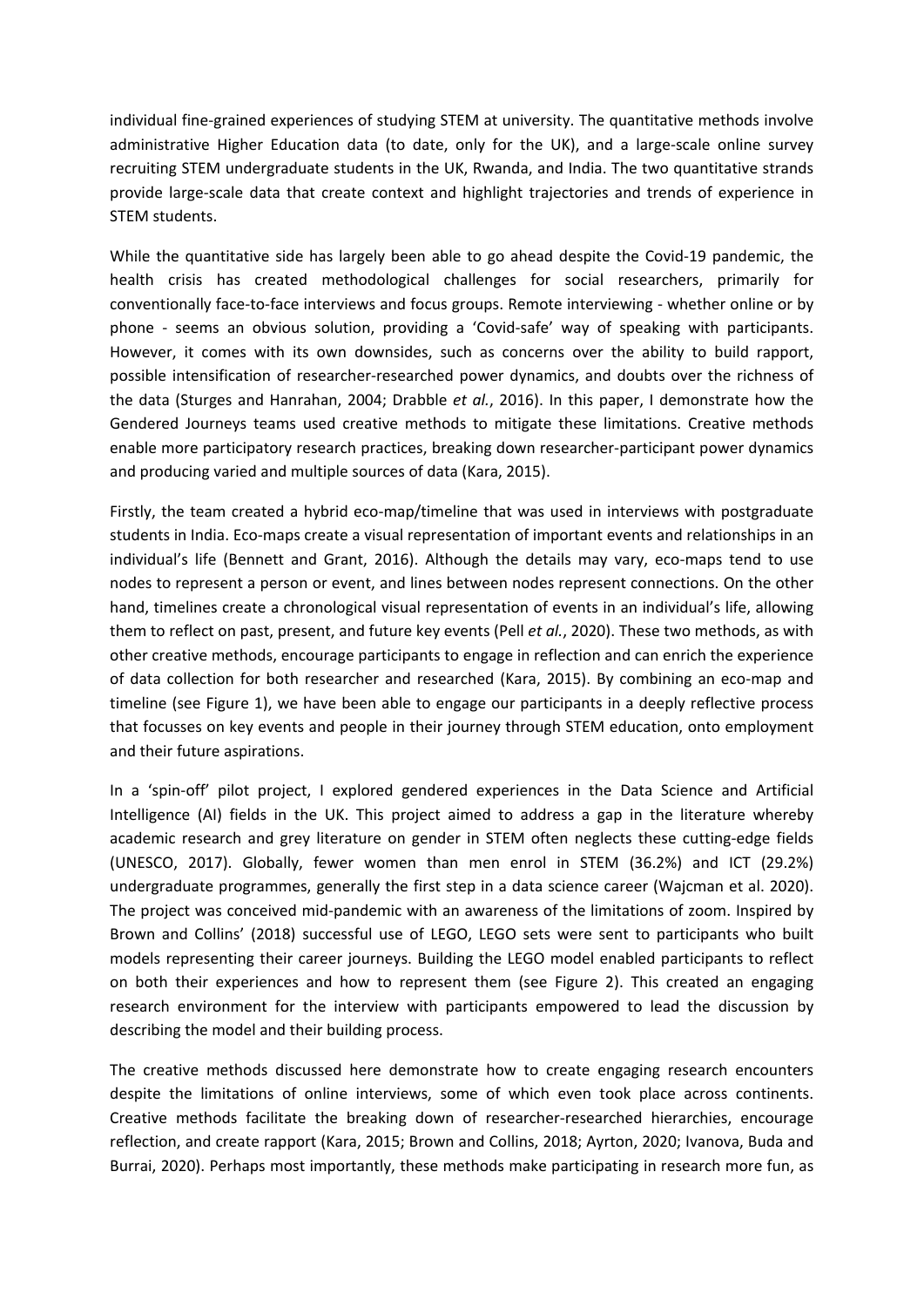individual fine-grained experiences of studying STEM at university. The quantitative methods involve administrative Higher Education data (to date, only for the UK), and <sup>a</sup> large-scale online survey recruiting STEM undergraduate students in the UK, Rwanda, and India. The two quantitative strands provide large-scale data that create context and highlight trajectories and trends of experience in STEM students.

While the quantitative side has largely been able to go ahead despite the Covid-19 pandemic, the health crisis has created methodological challenges for social researchers, primarily for conventionally face-to-face interviews and focus groups. Remote interviewing - whether online or by phone - seems an obvious solution, providing <sup>a</sup> 'Covid-safe' way of speaking with participants. However, it comes with its own downsides, such as concerns over the ability to build rapport, possible intensification of researcher-researched power dynamics, and doubts over the richness of the data (Sturges and Hanrahan, 2004; Drabble *et al.*, 2016). In this paper, I demonstrate how the Gendered Journeys teams used creative methods to mitigate these limitations. Creative methods enable more participatory research practices, breaking down researcher-participant power dynamics and producing varied and multiple sources of data (Kara, 2015).

Firstly, the team created <sup>a</sup> hybrid eco-map/timeline that was used in interviews with postgraduate students in India. Eco-maps create <sup>a</sup> visual representation of important events and relationships in an individual's life (Bennett and Grant, 2016). Although the details may vary, eco-maps tend to use nodes to represent <sup>a</sup> person or event, and lines between nodes represent connections. On the other hand, timelines create <sup>a</sup> chronological visual representation of events in an individual's life, allowing them to reflect on past, present, and future key events (Pell *et al.*, 2020). These two methods, as with other creative methods, encourage participants to engage in reflection and can enrich the experience of data collection for both researcher and researched (Kara, 2015). By combining an eco-map and timeline (see Figure 1), we have been able to engage our participants in <sup>a</sup> deeply reflective process that focusses on key events and people in their journey through STEM education, onto employment and their future aspirations.

In <sup>a</sup> 'spin-off' pilot project, I explored gendered experiences in the Data Science and Artificial Intelligence (AI) fields in the UK. This project aimed to address <sup>a</sup> gap in the literature whereby academic research and grey literature on gender in STEM often neglects these cutting-edge fields (UNESCO, 2017). Globally, fewer women than men enrol in STEM (36.2%) and ICT (29.2%) undergraduate programmes, generally the first step in <sup>a</sup> data science career (Wajcman et al. 2020). The project was conceived mid-pandemic with an awareness of the limitations of zoom. Inspired by Brown and Collins' (2018) successful use of LEGO, LEGO sets were sent to participants who built models representing their career journeys. Building the LEGO model enabled participants to reflect on both their experiences and how to represent them (see Figure 2). This created an engaging research environment for the interview with participants empowered to lead the discussion by describing the model and their building process.

The creative methods discussed here demonstrate how to create engaging research encounters despite the limitations of online interviews, some of which even took place across continents. Creative methods facilitate the breaking down of researcher-researched hierarchies, encourage reflection, and create rapport (Kara, 2015; Brown and Collins, 2018; Ayrton, 2020; Ivanova, Buda and Burrai, 2020). Perhaps most importantly, these methods make participating in research more fun, as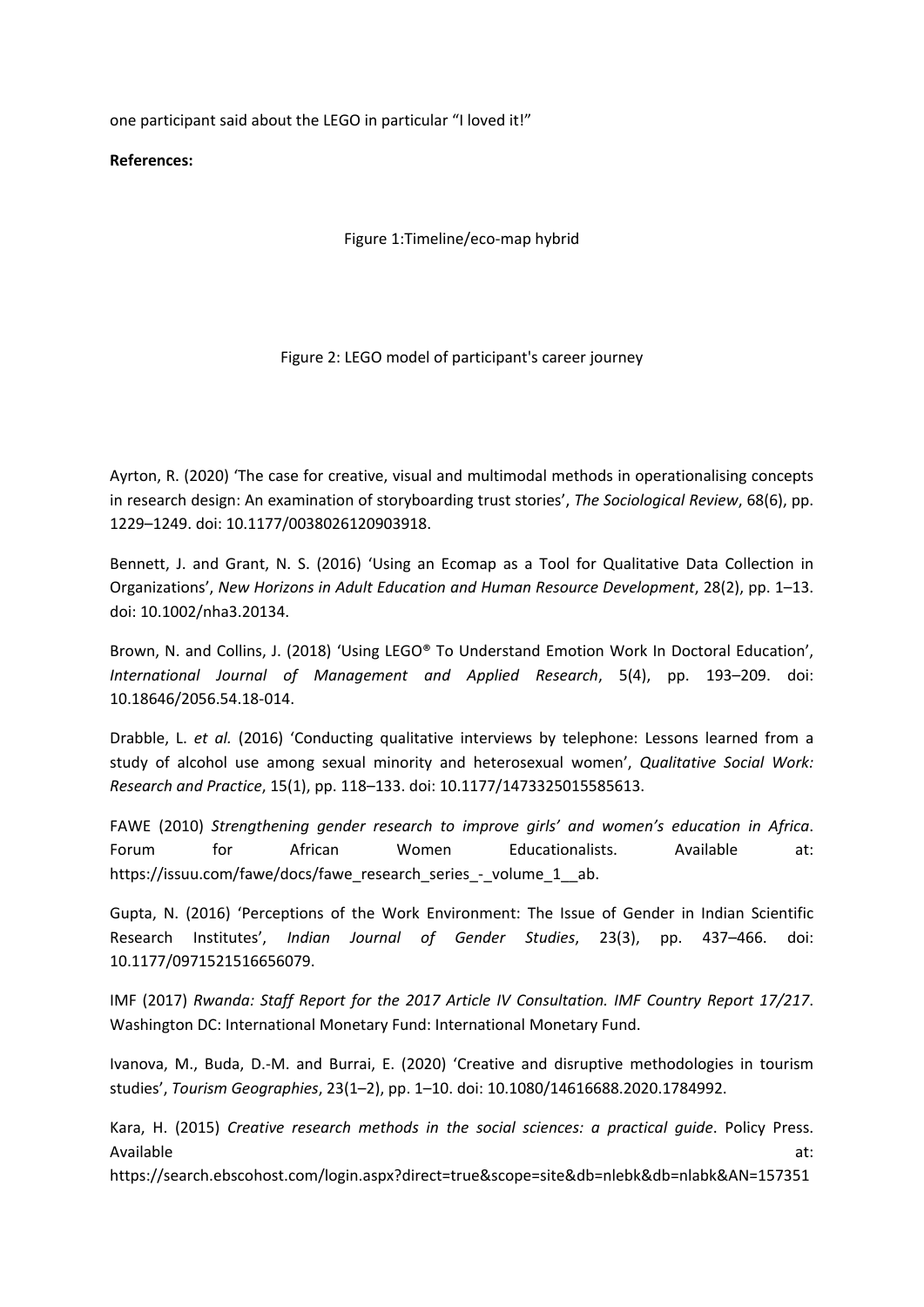one participant said about the LEGO in particular "I loved it!"

**References:**

Figure 1:Timeline/eco-map hybrid

Figure 2: LEGO model of participant's career journey

Ayrton, R. (2020) 'The case for creative, visual and multimodal methods in operationalising concepts in research design: An examination of storyboarding trust stories', *The Sociological Review*, 68(6), pp. 1229–1249. doi: 10.1177/0038026120903918.

Bennett, J. and Grant, N. S. (2016) 'Using an Ecomap as <sup>a</sup> Tool for Qualitative Data Collection in Organizations', *New Horizons in Adult Education and Human Resource Development*, 28(2), pp. 1–13. doi: 10.1002/nha3.20134.

Brown, N. and Collins, J. (2018) 'Using LEGO® To Understand Emotion Work In Doctoral Education', *International Journal of Management and Applied Research*, 5(4), pp. 193–209. doi: 10.18646/2056.54.18-014.

Drabble, L. *et al.* (2016) 'Conducting qualitative interviews by telephone: Lessons learned from <sup>a</sup> study of alcohol use among sexual minority and heterosexual women', *Qualitative Social Work: Research and Practice*, 15(1), pp. 118–133. doi: 10.1177/1473325015585613.

FAWE (2010) *Strengthening gender research to improve girls' and women's education in Africa*. Forum for African Women Educationalists. Available at: https://issuu.com/fawe/docs/fawe\_research\_series\_-\_volume\_1\_\_ab.

Gupta, N. (2016) 'Perceptions of the Work Environment: The Issue of Gender in Indian Scientific Research Institutes', *Indian Journal of Gender Studies*, 23(3), pp. 437–466. doi: 10.1177/0971521516656079.

IMF (2017) *Rwanda: Staff Report for the 2017 Article IV Consultation. IMF Country Report 17/217*. Washington DC: International Monetary Fund: International Monetary Fund.

Ivanova, M., Buda, D.-M. and Burrai, E. (2020) 'Creative and disruptive methodologies in tourism studies', *Tourism Geographies*, 23(1–2), pp. 1–10. doi: 10.1080/14616688.2020.1784992.

Kara, H. (2015) *Creative research methods in the social sciences: <sup>a</sup> practical guide*. Policy Press. Available at:

https://search.ebscohost.com/login.aspx?direct=true&scope=site&db=nlebk&db=nlabk&AN=157351